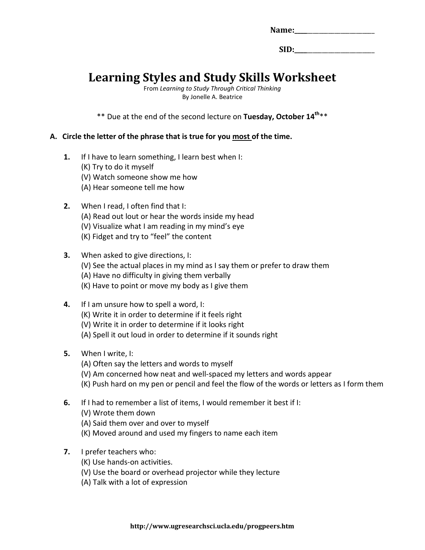| Name: |  |  |
|-------|--|--|
|       |  |  |

SID:

# **Learning Styles and Study Skills Worksheet**

From *Learning to Study Through Critical Thinking* By Jonelle A. Beatrice

\*\* Due at the end of the second lecture on **Tuesday, October 14th**\*\*

#### **A. Circle the letter of the phrase that is true for you most of the time.**

- **1.** If I have to learn something, I learn best when I:
	- (K) Try to do it myself
	- (V) Watch someone show me how
	- (A) Hear someone tell me how
- **2.** When I read, I often find that I:
	- (A) Read out lout or hear the words inside my head
	- (V) Visualize what I am reading in my mind's eye
	- (K) Fidget and try to "feel" the content
- **3.** When asked to give directions, I:
	- (V) See the actual places in my mind as I say them or prefer to draw them
	- (A) Have no difficulty in giving them verbally
	- (K) Have to point or move my body as I give them
- **4.** If I am unsure how to spell a word, I: (K) Write it in order to determine if it feels right (V) Write it in order to determine if it looks right
	- (A) Spell it out loud in order to determine if it sounds right
- **5.** When I write, I:
	- (A) Often say the letters and words to myself
	- (V) Am concerned how neat and well-spaced my letters and words appear
	- (K) Push hard on my pen or pencil and feel the flow of the words or letters as I form them
- **6.** If I had to remember a list of items, I would remember it best if I:
	- (V) Wrote them down
	- (A) Said them over and over to myself
	- (K) Moved around and used my fingers to name each item
- **7.** I prefer teachers who:
	- (K) Use hands-on activities.
	- (V) Use the board or overhead projector while they lecture
	- (A) Talk with a lot of expression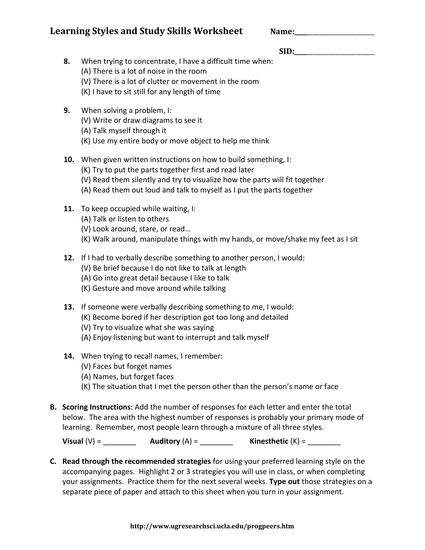# **Learning Styles and Study Skills Worksheet**

| Name: |  |
|-------|--|
|       |  |

# SID:

- **8.** When trying to concentrate, I have a difficult time when:
	- (A) There is a lot of noise in the room
	- (V) There is a lot of clutter or movement in the room
	- (K) I have to sit still for any length of time
- **9.** When solving a problem, I:
	- (V) Write or draw diagrams to see it
	- (A) Talk myself through it
	- (K) Use my entire body or move object to help me think

### **10.** When given written instructions on how to build something, I:

- (K) Try to put the parts together first and read later
- (V) Read them silently and try to visualize how the parts will fit together
- (A) Read them out loud and talk to myself as I put the parts together
- **11.** To keep occupied while waiting, I:
	- (A) Talk or listen to others
	- (V) Look around, stare, or read…
	- (K) Walk around, manipulate things with my hands, or move/shake my feet as I sit
- **12.** If I had to verbally describe something to another person, I would:
	- (V) Be brief because I do not like to talk at length
	- (A) Go into great detail because I like to talk
	- (K) Gesture and move around while talking
- **13.** If someone were verbally describing something to me, I would:
	- (K) Become bored if her description got too long and detailed
	- (V) Try to visualize what she was saying
	- (A) Enjoy listening but want to interrupt and talk myself
- **14.** When trying to recall names, I remember:
	- (V) Faces but forget names
	- (A) Names, but forget faces
	- (K) The situation that I met the person other than the person's name or face
- **B. Scoring Instructions**: Add the number of responses for each letter and enter the total below. The area with the highest number of responses is probably your primary mode of learning. Remember, most people learn through a mixture of all three styles.

**Visual** (V) = \_\_\_\_\_\_\_\_ **Auditory** (A) = \_\_\_\_\_\_\_\_ **Kinesthetic** (K) = \_\_\_\_\_\_\_\_

**C. Read through the recommended strategies** for using your preferred learning style on the accompanying pages. Highlight 2 or 3 strategies you will use in class, or when completing your assignments. Practice them for the next several weeks. **Type out** those strategies on a separate piece of paper and attach to this sheet when you turn in your assignment.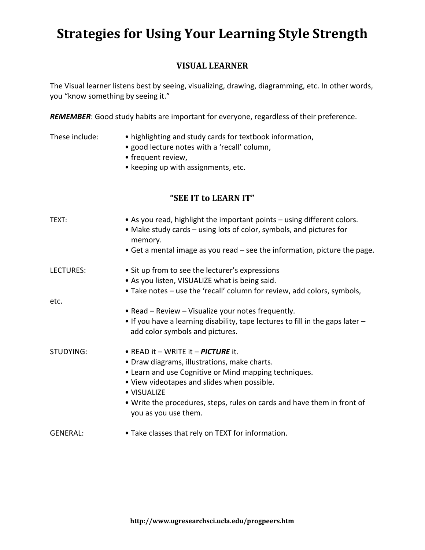# **Strategies for Using Your Learning Style Strength**

# **VISUAL LEARNER**

The Visual learner listens best by seeing, visualizing, drawing, diagramming, etc. In other words, you "know something by seeing it."

*REMEMBER*: Good study habits are important for everyone, regardless of their preference.

- These include: highlighting and study cards for textbook information,
	- good lecture notes with a 'recall' column,
	- frequent review,
	- keeping up with assignments, etc.

### **"SEE IT to LEARN IT"**

| TEXT:            | • As you read, highlight the important points – using different colors.<br>• Make study cards – using lots of color, symbols, and pictures for<br>memory.<br>• Get a mental image as you read – see the information, picture the page.                                                                       |
|------------------|--------------------------------------------------------------------------------------------------------------------------------------------------------------------------------------------------------------------------------------------------------------------------------------------------------------|
| LECTURES:        | • Sit up from to see the lecturer's expressions<br>• As you listen, VISUALIZE what is being said.<br>• Take notes – use the 'recall' column for review, add colors, symbols,                                                                                                                                 |
| etc.             |                                                                                                                                                                                                                                                                                                              |
|                  | • Read – Review – Visualize your notes frequently.<br>• If you have a learning disability, tape lectures to fill in the gaps later -<br>add color symbols and pictures.                                                                                                                                      |
| <b>STUDYING:</b> | • READ it – WRITE it – PICTURE it.<br>• Draw diagrams, illustrations, make charts.<br>• Learn and use Cognitive or Mind mapping techniques.<br>• View videotapes and slides when possible.<br>• VISUALIZE<br>• Write the procedures, steps, rules on cards and have them in front of<br>you as you use them. |
| <b>GENERAL:</b>  | • Take classes that rely on TEXT for information.                                                                                                                                                                                                                                                            |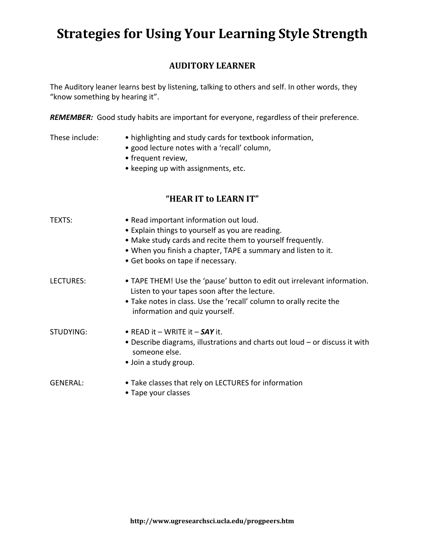# **Strategies for Using Your Learning Style Strength**

# **AUDITORY LEARNER**

The Auditory leaner learns best by listening, talking to others and self. In other words, they "know something by hearing it".

*REMEMBER:* Good study habits are important for everyone, regardless of their preference.

#### These include: • highlighting and study cards for textbook information,

- good lecture notes with a 'recall' column,
- frequent review,
- keeping up with assignments, etc.

### **"HEAR IT to LEARN IT"**

| TEXTS:          | • Read important information out loud.<br>• Explain things to yourself as you are reading.<br>• Make study cards and recite them to yourself frequently.<br>. When you finish a chapter, TAPE a summary and listen to it.<br>• Get books on tape if necessary. |
|-----------------|----------------------------------------------------------------------------------------------------------------------------------------------------------------------------------------------------------------------------------------------------------------|
| LECTURES:       | • TAPE THEM! Use the 'pause' button to edit out irrelevant information.<br>Listen to your tapes soon after the lecture.<br>• Take notes in class. Use the 'recall' column to orally recite the<br>information and quiz yourself.                               |
| STUDYING:       | • READ it – WRITE it – $SAY$ it.<br>• Describe diagrams, illustrations and charts out loud – or discuss it with<br>someone else.<br>• Join a study group.                                                                                                      |
| <b>GENERAL:</b> | • Take classes that rely on LECTURES for information                                                                                                                                                                                                           |

• Tape your classes